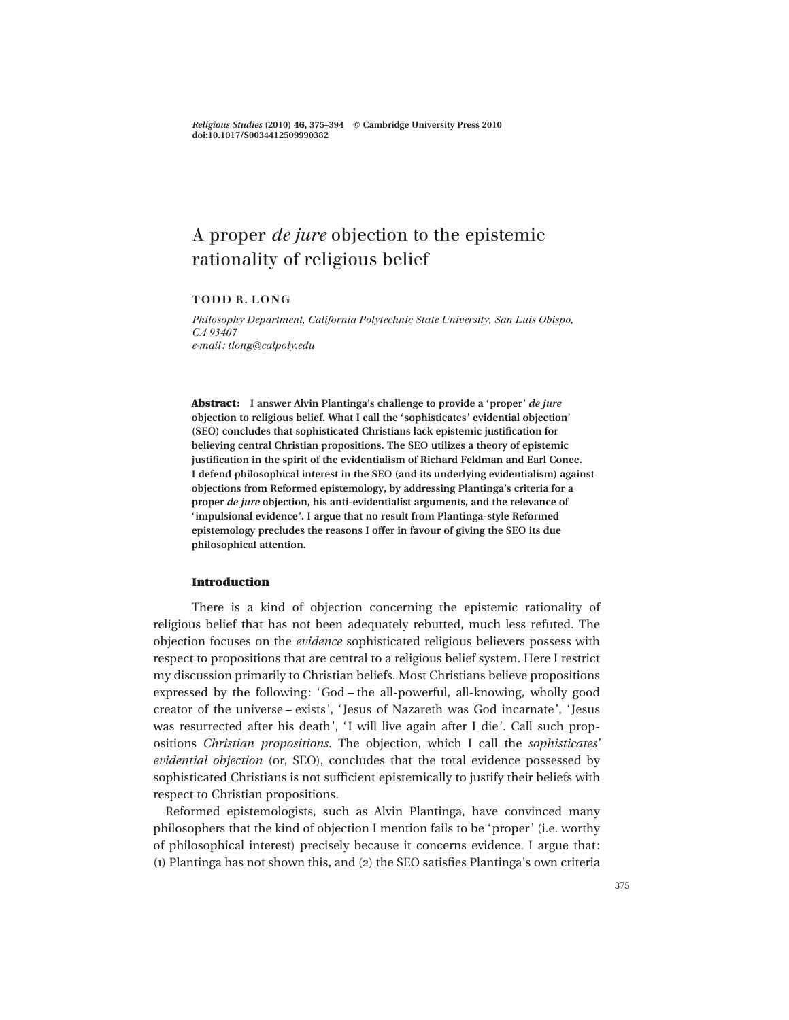Religious Studies (2010) 46, 375-394 © Cambridge University Press 2010 doi:10.1017/S0034412509990382

# A proper de jure objection to the epistemic rationality of religious belief

#### TODD R. LONG

Philosophy Department, California Polytechnic State University, San Luis Obispo, CA 93407 e-mail: tlong@calpoly.edu

Abstract: I answer Alvin Plantinga's challenge to provide a 'proper' de jure objection to religious belief. What I call the 'sophisticates' evidential objection' (SEO) concludes that sophisticated Christians lack epistemic justification for believing central Christian propositions. The SEO utilizes a theory of epistemic justification in the spirit of the evidentialism of Richard Feldman and Earl Conee. I defend philosophical interest in the SEO (and its underlying evidentialism) against objections from Reformed epistemology, by addressing Plantinga's criteria for a proper de jure objection, his anti-evidentialist arguments, and the relevance of ' impulsional evidence'. I argue that no result from Plantinga-style Reformed epistemology precludes the reasons I offer in favour of giving the SEO its due philosophical attention.

# Introduction

There is a kind of objection concerning the epistemic rationality of religious belief that has not been adequately rebutted, much less refuted. The objection focuses on the evidence sophisticated religious believers possess with respect to propositions that are central to a religious belief system. Here I restrict my discussion primarily to Christian beliefs. Most Christians believe propositions expressed by the following: 'God – the all-powerful, all-knowing, wholly good creator of the universe – exists', ' Jesus of Nazareth was God incarnate', ' Jesus was resurrected after his death', 'I will live again after I die'. Call such propositions Christian propositions. The objection, which I call the sophisticates' evidential objection (or, SEO), concludes that the total evidence possessed by sophisticated Christians is not sufficient epistemically to justify their beliefs with respect to Christian propositions.

Reformed epistemologists, such as Alvin Plantinga, have convinced many philosophers that the kind of objection I mention fails to be 'proper' (i.e. worthy of philosophical interest) precisely because it concerns evidence. I argue that: (1) Plantinga has not shown this, and (2) the SEO satisfies Plantinga's own criteria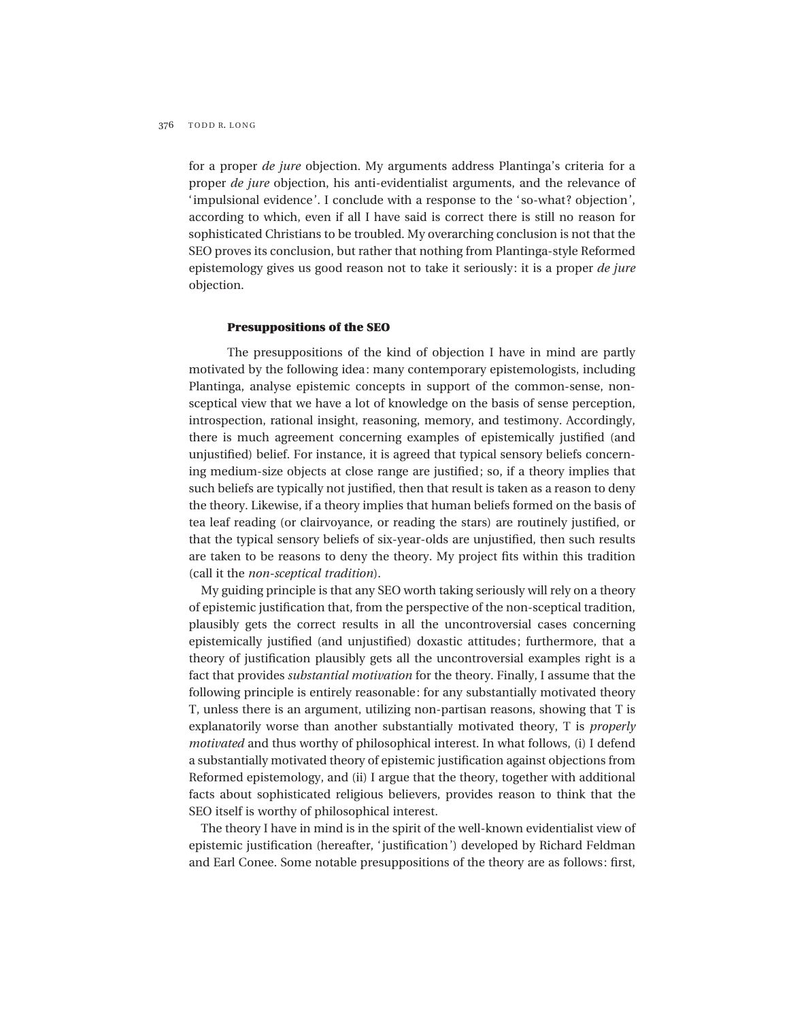for a proper de jure objection. My arguments address Plantinga's criteria for a proper *de jure* objection, his anti-evidentialist arguments, and the relevance of 'impulsional evidence'. I conclude with a response to the 'so-what ? objection', according to which, even if all I have said is correct there is still no reason for sophisticated Christians to be troubled. My overarching conclusion is not that the SEO proves its conclusion, but rather that nothing from Plantinga-style Reformed epistemology gives us good reason not to take it seriously: it is a proper de jure objection.

#### Presuppositions of the SEO

The presuppositions of the kind of objection I have in mind are partly motivated by the following idea: many contemporary epistemologists, including Plantinga, analyse epistemic concepts in support of the common-sense, nonsceptical view that we have a lot of knowledge on the basis of sense perception, introspection, rational insight, reasoning, memory, and testimony. Accordingly, there is much agreement concerning examples of epistemically justified (and unjustified) belief. For instance, it is agreed that typical sensory beliefs concerning medium-size objects at close range are justified; so, if a theory implies that such beliefs are typically not justified, then that result is taken as a reason to deny the theory. Likewise, if a theory implies that human beliefs formed on the basis of tea leaf reading (or clairvoyance, or reading the stars) are routinely justified, or that the typical sensory beliefs of six-year-olds are unjustified, then such results are taken to be reasons to deny the theory. My project fits within this tradition (call it the non-sceptical tradition).

My guiding principle is that any SEO worth taking seriously will rely on a theory of epistemic justification that, from the perspective of the non-sceptical tradition, plausibly gets the correct results in all the uncontroversial cases concerning epistemically justified (and unjustified) doxastic attitudes; furthermore, that a theory of justification plausibly gets all the uncontroversial examples right is a fact that provides *substantial motivation* for the theory. Finally, I assume that the following principle is entirely reasonable: for any substantially motivated theory T, unless there is an argument, utilizing non-partisan reasons, showing that T is explanatorily worse than another substantially motivated theory, T is *properly* motivated and thus worthy of philosophical interest. In what follows, (i) I defend a substantially motivated theory of epistemic justification against objections from Reformed epistemology, and (ii) I argue that the theory, together with additional facts about sophisticated religious believers, provides reason to think that the SEO itself is worthy of philosophical interest.

The theory I have in mind is in the spirit of the well-known evidentialist view of epistemic justification (hereafter, 'justification') developed by Richard Feldman and Earl Conee. Some notable presuppositions of the theory are as follows: first,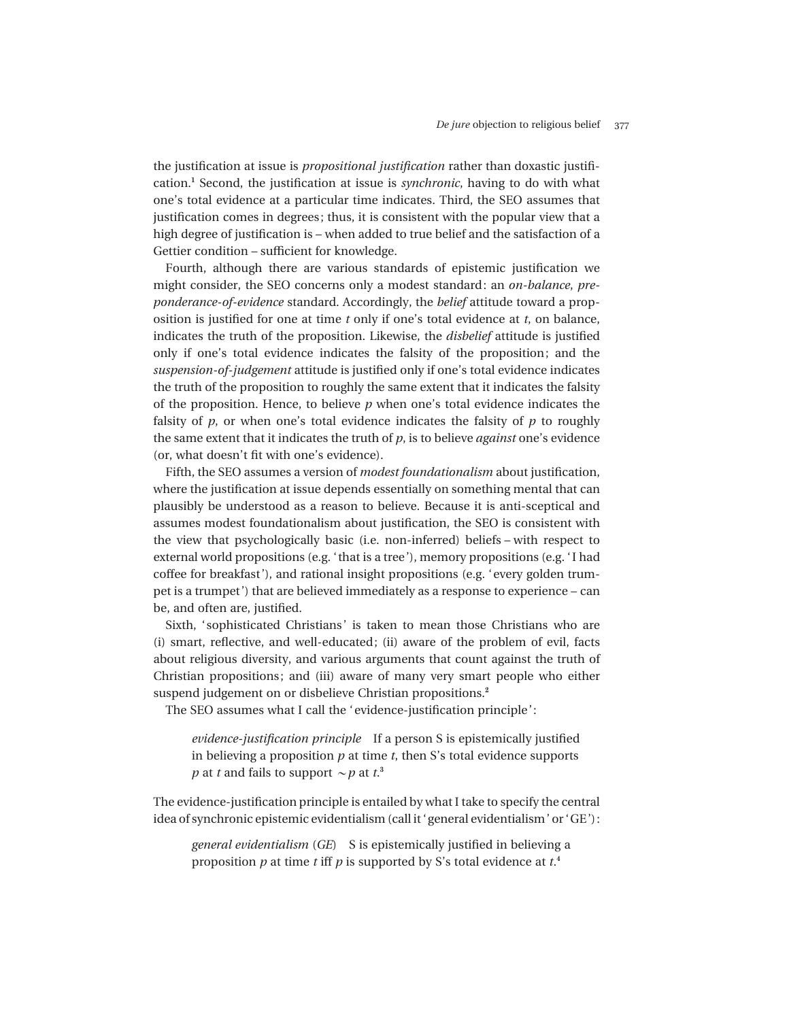the justification at issue is propositional justification rather than doxastic justification.<sup>1</sup> Second, the justification at issue is *synchronic*, having to do with what one's total evidence at a particular time indicates. Third, the SEO assumes that justification comes in degrees; thus, it is consistent with the popular view that a high degree of justification is – when added to true belief and the satisfaction of a Gettier condition – sufficient for knowledge.

Fourth, although there are various standards of epistemic justification we might consider, the SEO concerns only a modest standard: an on-balance, preponderance-of-evidence standard. Accordingly, the belief attitude toward a proposition is justified for one at time  $t$  only if one's total evidence at  $t$ , on balance, indicates the truth of the proposition. Likewise, the disbelief attitude is justified only if one's total evidence indicates the falsity of the proposition; and the suspension-of-judgement attitude is justified only if one's total evidence indicates the truth of the proposition to roughly the same extent that it indicates the falsity of the proposition. Hence, to believe  $p$  when one's total evidence indicates the falsity of  $p$ , or when one's total evidence indicates the falsity of  $p$  to roughly the same extent that it indicates the truth of  $p$ , is to believe *against* one's evidence (or, what doesn't fit with one's evidence).

Fifth, the SEO assumes a version of modest foundationalism about justification, where the justification at issue depends essentially on something mental that can plausibly be understood as a reason to believe. Because it is anti-sceptical and assumes modest foundationalism about justification, the SEO is consistent with the view that psychologically basic (i.e. non-inferred) beliefs – with respect to external world propositions (e.g. ' that is a tree'), memory propositions (e.g. ' I had coffee for breakfast'), and rational insight propositions (e.g. ' every golden trumpet is a trumpet') that are believed immediately as a response to experience – can be, and often are, justified.

Sixth, 'sophisticated Christians' is taken to mean those Christians who are (i) smart, reflective, and well-educated; (ii) aware of the problem of evil, facts about religious diversity, and various arguments that count against the truth of Christian propositions; and (iii) aware of many very smart people who either suspend judgement on or disbelieve Christian propositions.<sup>2</sup>

The SEO assumes what I call the 'evidence-justification principle':

evidence-justification principle If a person S is epistemically justified in believing a proposition  $p$  at time  $t$ , then S's total evidence supports  $p$  at  $t$  and fails to support  $\sim$   $p$  at  $t.^3$ 

The evidence-justification principle is entailed by what I take to specify the central idea of synchronic epistemic evidentialism (call it'general evidentialism' or'GE'):

general evidentialism (GE) S is epistemically justified in believing a proposition  $p$  at time  $t$  iff  $p$  is supported by S's total evidence at  $t<sup>4</sup>$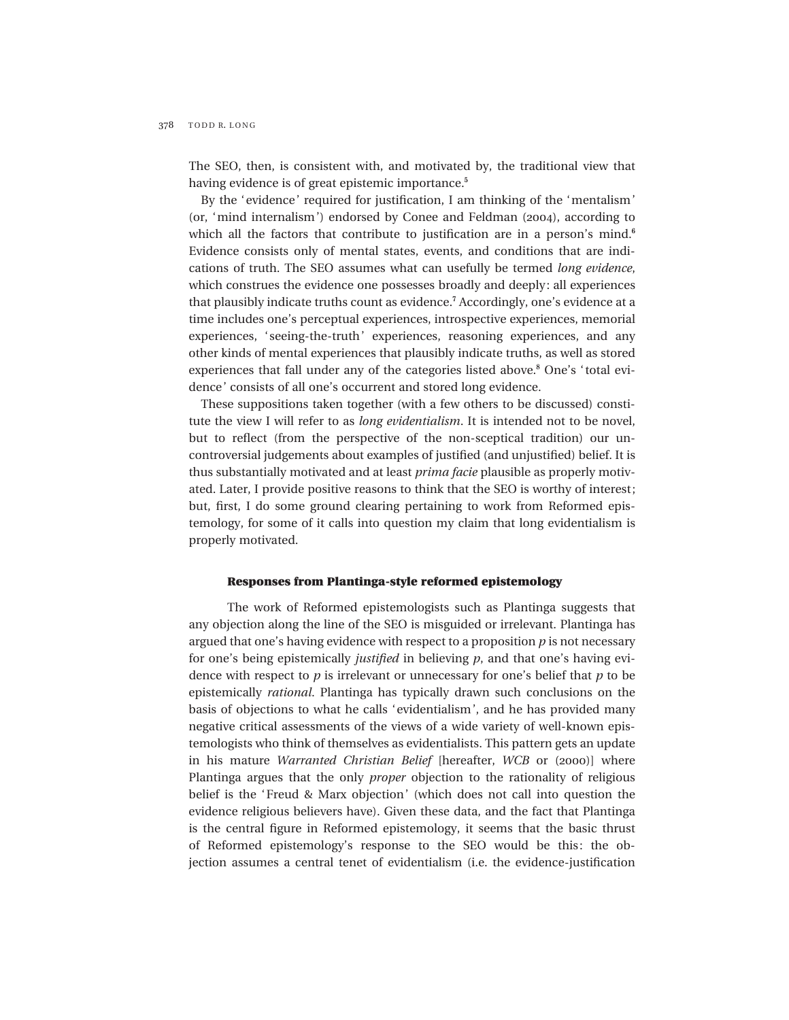The SEO, then, is consistent with, and motivated by, the traditional view that having evidence is of great epistemic importance.<sup>5</sup>

By the 'evidence' required for justification, I am thinking of the 'mentalism' (or, 'mind internalism') endorsed by Conee and Feldman (2004), according to which all the factors that contribute to justification are in a person's mind.<sup>6</sup> Evidence consists only of mental states, events, and conditions that are indications of truth. The SEO assumes what can usefully be termed long evidence, which construes the evidence one possesses broadly and deeply: all experiences that plausibly indicate truths count as evidence.<sup>7</sup> Accordingly, one's evidence at a time includes one's perceptual experiences, introspective experiences, memorial experiences, 'seeing-the-truth' experiences, reasoning experiences, and any other kinds of mental experiences that plausibly indicate truths, as well as stored experiences that fall under any of the categories listed above.<sup>8</sup> One's 'total evidence' consists of all one's occurrent and stored long evidence.

These suppositions taken together (with a few others to be discussed) constitute the view I will refer to as *long evidentialism*. It is intended not to be novel, but to reflect (from the perspective of the non-sceptical tradition) our uncontroversial judgements about examples of justified (and unjustified) belief. It is thus substantially motivated and at least *prima facie* plausible as properly motivated. Later, I provide positive reasons to think that the SEO is worthy of interest; but, first, I do some ground clearing pertaining to work from Reformed epistemology, for some of it calls into question my claim that long evidentialism is properly motivated.

# Responses from Plantinga-style reformed epistemology

The work of Reformed epistemologists such as Plantinga suggests that any objection along the line of the SEO is misguided or irrelevant. Plantinga has argued that one's having evidence with respect to a proposition  $p$  is not necessary for one's being epistemically *justified* in believing  $p$ , and that one's having evidence with respect to  $p$  is irrelevant or unnecessary for one's belief that  $p$  to be epistemically *rational*. Plantinga has typically drawn such conclusions on the basis of objections to what he calls 'evidentialism', and he has provided many negative critical assessments of the views of a wide variety of well-known epistemologists who think of themselves as evidentialists. This pattern gets an update in his mature *Warranted Christian Belief* [hereafter, *WCB* or (2000)] where Plantinga argues that the only *proper* objection to the rationality of religious belief is the 'Freud & Marx objection' (which does not call into question the evidence religious believers have). Given these data, and the fact that Plantinga is the central figure in Reformed epistemology, it seems that the basic thrust of Reformed epistemology's response to the SEO would be this: the objection assumes a central tenet of evidentialism (i.e. the evidence-justification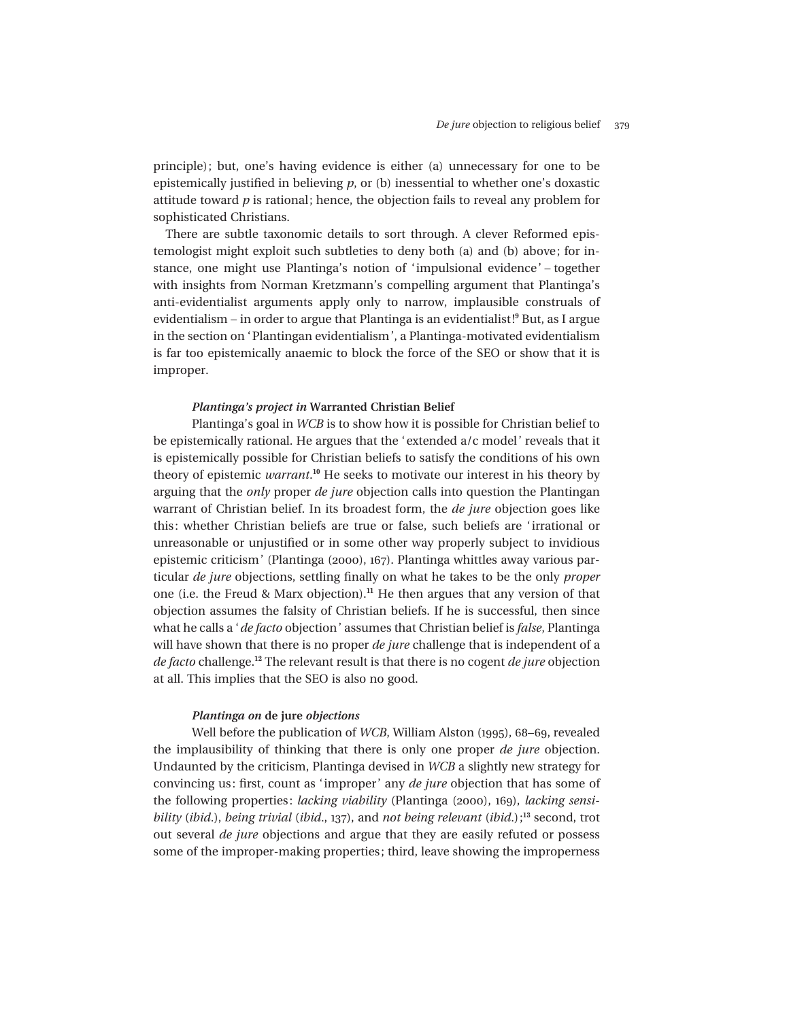principle); but, one's having evidence is either (a) unnecessary for one to be epistemically justified in believing  $p$ , or (b) inessential to whether one's doxastic attitude toward  $p$  is rational; hence, the objection fails to reveal any problem for sophisticated Christians.

There are subtle taxonomic details to sort through. A clever Reformed epistemologist might exploit such subtleties to deny both (a) and (b) above; for instance, one might use Plantinga's notion of 'impulsional evidence' – together with insights from Norman Kretzmann's compelling argument that Plantinga's anti-evidentialist arguments apply only to narrow, implausible construals of evidentialism – in order to argue that Plantinga is an evidentialist!<sup>9</sup> But, as I argue in the section on 'Plantingan evidentialism', a Plantinga-motivated evidentialism is far too epistemically anaemic to block the force of the SEO or show that it is improper.

# Plantinga's project in Warranted Christian Belief

Plantinga's goal in WCB is to show how it is possible for Christian belief to be epistemically rational. He argues that the 'extended a/c model' reveals that it is epistemically possible for Christian beliefs to satisfy the conditions of his own theory of epistemic *warrant*.<sup>10</sup> He seeks to motivate our interest in his theory by arguing that the *only* proper *de jure* objection calls into question the Plantingan warrant of Christian belief. In its broadest form, the de jure objection goes like this: whether Christian beliefs are true or false, such beliefs are 'irrational or unreasonable or unjustified or in some other way properly subject to invidious epistemic criticism' (Plantinga (2000), 167). Plantinga whittles away various particular de jure objections, settling finally on what he takes to be the only proper one (i.e. the Freud & Marx objection).<sup>11</sup> He then argues that any version of that objection assumes the falsity of Christian beliefs. If he is successful, then since what he calls a 'de facto objection' assumes that Christian belief is false, Plantinga will have shown that there is no proper *de jure* challenge that is independent of a de facto challenge.<sup>12</sup> The relevant result is that there is no cogent de jure objection at all. This implies that the SEO is also no good.

# Plantinga on de jure objections

Well before the publication of WCB, William Alston (1995), 68–69, revealed the implausibility of thinking that there is only one proper *de jure* objection. Undaunted by the criticism, Plantinga devised in WCB a slightly new strategy for convincing us: first, count as 'improper' any de jure objection that has some of the following properties: lacking viability (Plantinga (2000), 169), lacking sensibility (ibid.), being trivial (ibid., 137), and not being relevant (ibid.);<sup>13</sup> second, trot out several de jure objections and argue that they are easily refuted or possess some of the improper-making properties; third, leave showing the improperness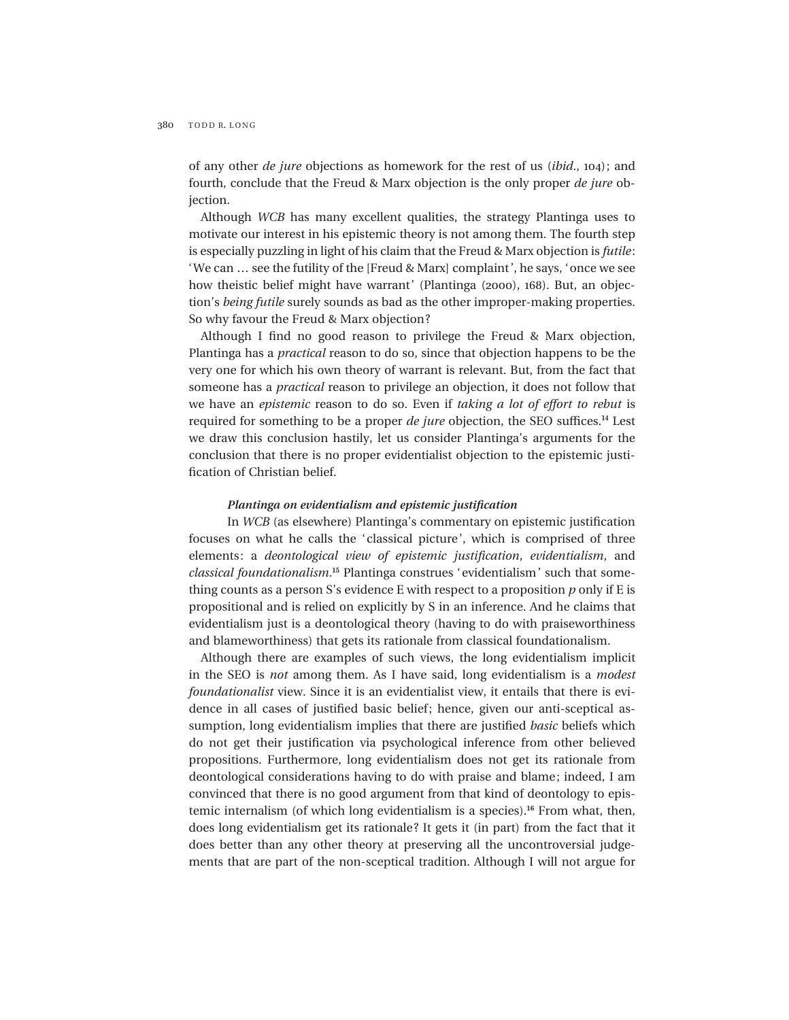of any other *de jure* objections as homework for the rest of us *(ibid., 104)*; and fourth, conclude that the Freud & Marx objection is the only proper *de jure* objection.

Although WCB has many excellent qualities, the strategy Plantinga uses to motivate our interest in his epistemic theory is not among them. The fourth step is especially puzzling in light of his claim that the Freud & Marx objection is *futile*: 'We can … see the futility of the [Freud & Marx] complaint', he says, 'once we see how theistic belief might have warrant' (Plantinga (2000), 168). But, an objection's *being futile* surely sounds as bad as the other improper-making properties. So why favour the Freud & Marx objection ?

Although I find no good reason to privilege the Freud & Marx objection, Plantinga has a *practical* reason to do so, since that objection happens to be the very one for which his own theory of warrant is relevant. But, from the fact that someone has a *practical* reason to privilege an objection, it does not follow that we have an *epistemic* reason to do so. Even if taking a lot of effort to rebut is required for something to be a proper *de jure* objection, the SEO suffices.<sup>14</sup> Lest we draw this conclusion hastily, let us consider Plantinga's arguments for the conclusion that there is no proper evidentialist objection to the epistemic justification of Christian belief.

# Plantinga on evidentialism and epistemic justification

In WCB (as elsewhere) Plantinga's commentary on epistemic justification focuses on what he calls the 'classical picture', which is comprised of three elements: a deontological view of epistemic justification, evidentialism, and classical foundationalism.<sup>15</sup> Plantinga construes 'evidentialism' such that something counts as a person S's evidence E with respect to a proposition  $p$  only if E is propositional and is relied on explicitly by S in an inference. And he claims that evidentialism just is a deontological theory (having to do with praiseworthiness and blameworthiness) that gets its rationale from classical foundationalism.

Although there are examples of such views, the long evidentialism implicit in the SEO is *not* among them. As I have said, long evidentialism is a *modest* foundationalist view. Since it is an evidentialist view, it entails that there is evidence in all cases of justified basic belief; hence, given our anti-sceptical assumption, long evidentialism implies that there are justified *basic* beliefs which do not get their justification via psychological inference from other believed propositions. Furthermore, long evidentialism does not get its rationale from deontological considerations having to do with praise and blame; indeed, I am convinced that there is no good argument from that kind of deontology to epistemic internalism (of which long evidentialism is a species).<sup>16</sup> From what, then, does long evidentialism get its rationale ? It gets it (in part) from the fact that it does better than any other theory at preserving all the uncontroversial judgements that are part of the non-sceptical tradition. Although I will not argue for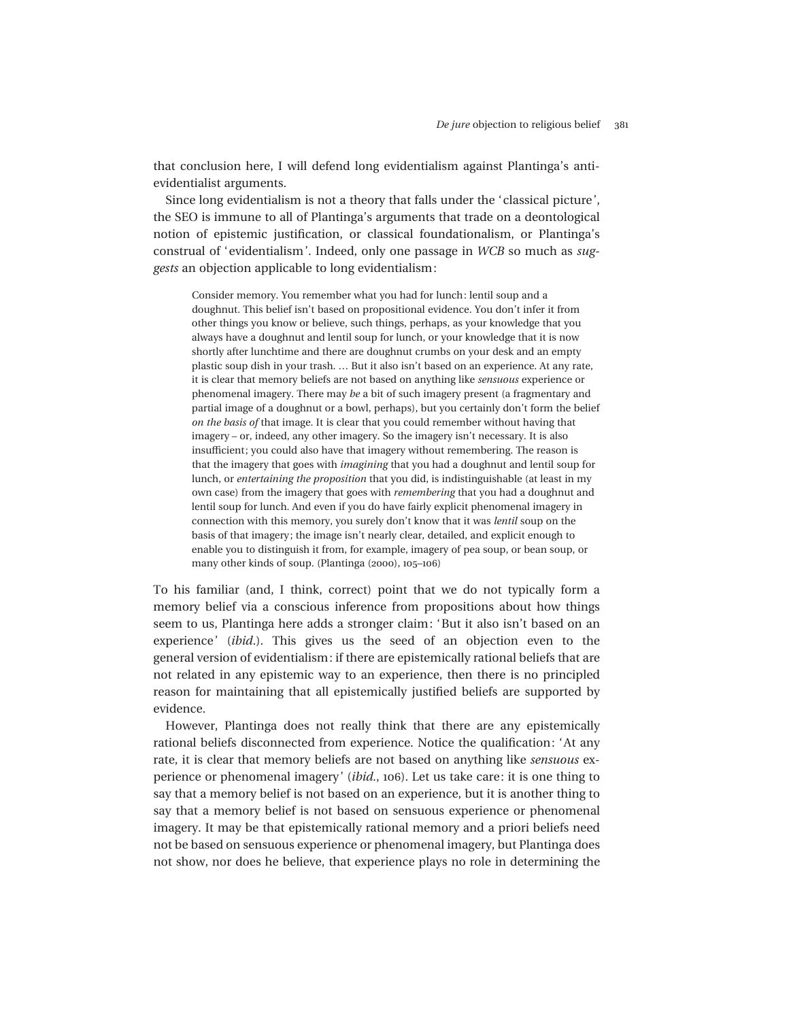that conclusion here, I will defend long evidentialism against Plantinga's antievidentialist arguments.

Since long evidentialism is not a theory that falls under the ' classical picture', the SEO is immune to all of Plantinga's arguments that trade on a deontological notion of epistemic justification, or classical foundationalism, or Plantinga's construal of 'evidentialism'. Indeed, only one passage in WCB so much as suggests an objection applicable to long evidentialism:

Consider memory. You remember what you had for lunch: lentil soup and a doughnut. This belief isn't based on propositional evidence. You don't infer it from other things you know or believe, such things, perhaps, as your knowledge that you always have a doughnut and lentil soup for lunch, or your knowledge that it is now shortly after lunchtime and there are doughnut crumbs on your desk and an empty plastic soup dish in your trash. … But it also isn't based on an experience. At any rate, it is clear that memory beliefs are not based on anything like sensuous experience or phenomenal imagery. There may be a bit of such imagery present (a fragmentary and partial image of a doughnut or a bowl, perhaps), but you certainly don't form the belief on the basis of that image. It is clear that you could remember without having that imagery – or, indeed, any other imagery. So the imagery isn't necessary. It is also insufficient; you could also have that imagery without remembering. The reason is that the imagery that goes with imagining that you had a doughnut and lentil soup for lunch, or entertaining the proposition that you did, is indistinguishable (at least in my own case) from the imagery that goes with remembering that you had a doughnut and lentil soup for lunch. And even if you do have fairly explicit phenomenal imagery in connection with this memory, you surely don't know that it was lentil soup on the basis of that imagery; the image isn't nearly clear, detailed, and explicit enough to enable you to distinguish it from, for example, imagery of pea soup, or bean soup, or many other kinds of soup. (Plantinga (2000), 105–106)

To his familiar (and, I think, correct) point that we do not typically form a memory belief via a conscious inference from propositions about how things seem to us, Plantinga here adds a stronger claim: 'But it also isn't based on an experience' (ibid.). This gives us the seed of an objection even to the general version of evidentialism: if there are epistemically rational beliefs that are not related in any epistemic way to an experience, then there is no principled reason for maintaining that all epistemically justified beliefs are supported by evidence.

However, Plantinga does not really think that there are any epistemically rational beliefs disconnected from experience. Notice the qualification: 'At any rate, it is clear that memory beliefs are not based on anything like sensuous experience or phenomenal imagery' (ibid., 106). Let us take care: it is one thing to say that a memory belief is not based on an experience, but it is another thing to say that a memory belief is not based on sensuous experience or phenomenal imagery. It may be that epistemically rational memory and a priori beliefs need not be based on sensuous experience or phenomenal imagery, but Plantinga does not show, nor does he believe, that experience plays no role in determining the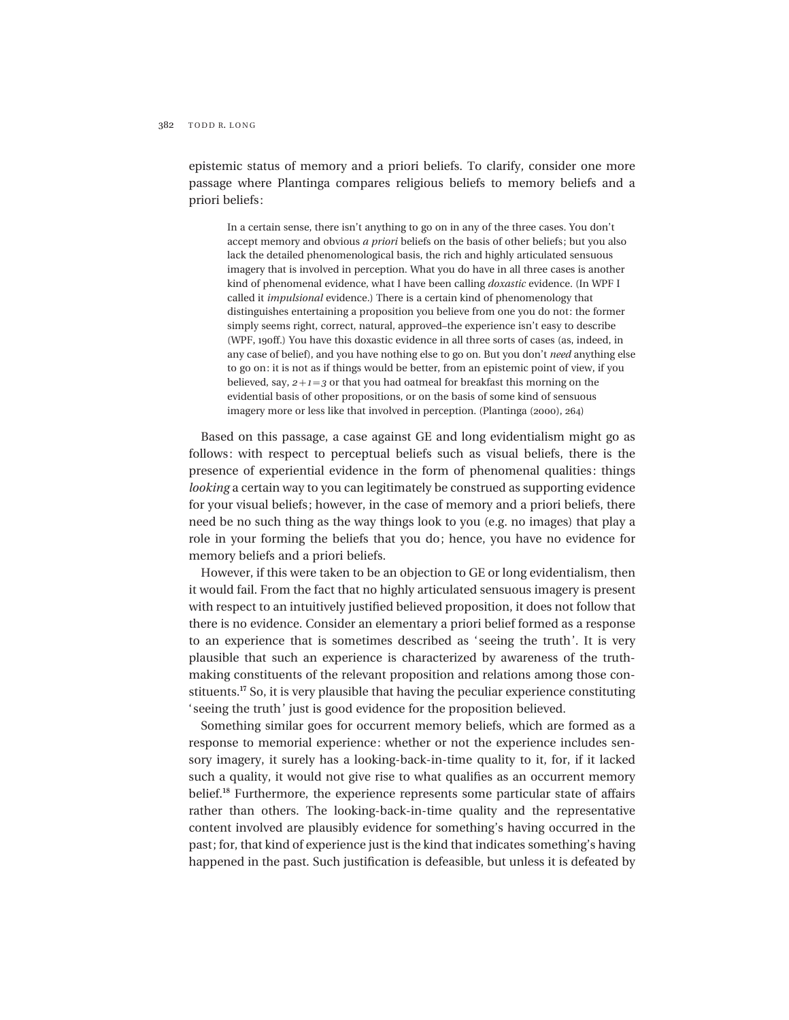epistemic status of memory and a priori beliefs. To clarify, consider one more passage where Plantinga compares religious beliefs to memory beliefs and a priori beliefs:

In a certain sense, there isn't anything to go on in any of the three cases. You don't accept memory and obvious a priori beliefs on the basis of other beliefs; but you also lack the detailed phenomenological basis, the rich and highly articulated sensuous imagery that is involved in perception. What you do have in all three cases is another kind of phenomenal evidence, what I have been calling doxastic evidence. (In WPF I called it impulsional evidence.) There is a certain kind of phenomenology that distinguishes entertaining a proposition you believe from one you do not: the former simply seems right, correct, natural, approved–the experience isn't easy to describe (WPF, 190ff.) You have this doxastic evidence in all three sorts of cases (as, indeed, in any case of belief), and you have nothing else to go on. But you don't need anything else to go on: it is not as if things would be better, from an epistemic point of view, if you believed, say,  $2+1=3$  or that you had oatmeal for breakfast this morning on the evidential basis of other propositions, or on the basis of some kind of sensuous imagery more or less like that involved in perception. (Plantinga (2000), 264)

Based on this passage, a case against GE and long evidentialism might go as follows: with respect to perceptual beliefs such as visual beliefs, there is the presence of experiential evidence in the form of phenomenal qualities: things looking a certain way to you can legitimately be construed as supporting evidence for your visual beliefs; however, in the case of memory and a priori beliefs, there need be no such thing as the way things look to you (e.g. no images) that play a role in your forming the beliefs that you do; hence, you have no evidence for memory beliefs and a priori beliefs.

However, if this were taken to be an objection to GE or long evidentialism, then it would fail. From the fact that no highly articulated sensuous imagery is present with respect to an intuitively justified believed proposition, it does not follow that there is no evidence. Consider an elementary a priori belief formed as a response to an experience that is sometimes described as 'seeing the truth'. It is very plausible that such an experience is characterized by awareness of the truthmaking constituents of the relevant proposition and relations among those constituents.<sup>17</sup> So, it is very plausible that having the peculiar experience constituting 'seeing the truth' just is good evidence for the proposition believed.

Something similar goes for occurrent memory beliefs, which are formed as a response to memorial experience: whether or not the experience includes sensory imagery, it surely has a looking-back-in-time quality to it, for, if it lacked such a quality, it would not give rise to what qualifies as an occurrent memory belief.<sup>18</sup> Furthermore, the experience represents some particular state of affairs rather than others. The looking-back-in-time quality and the representative content involved are plausibly evidence for something's having occurred in the past; for, that kind of experience just is the kind that indicates something's having happened in the past. Such justification is defeasible, but unless it is defeated by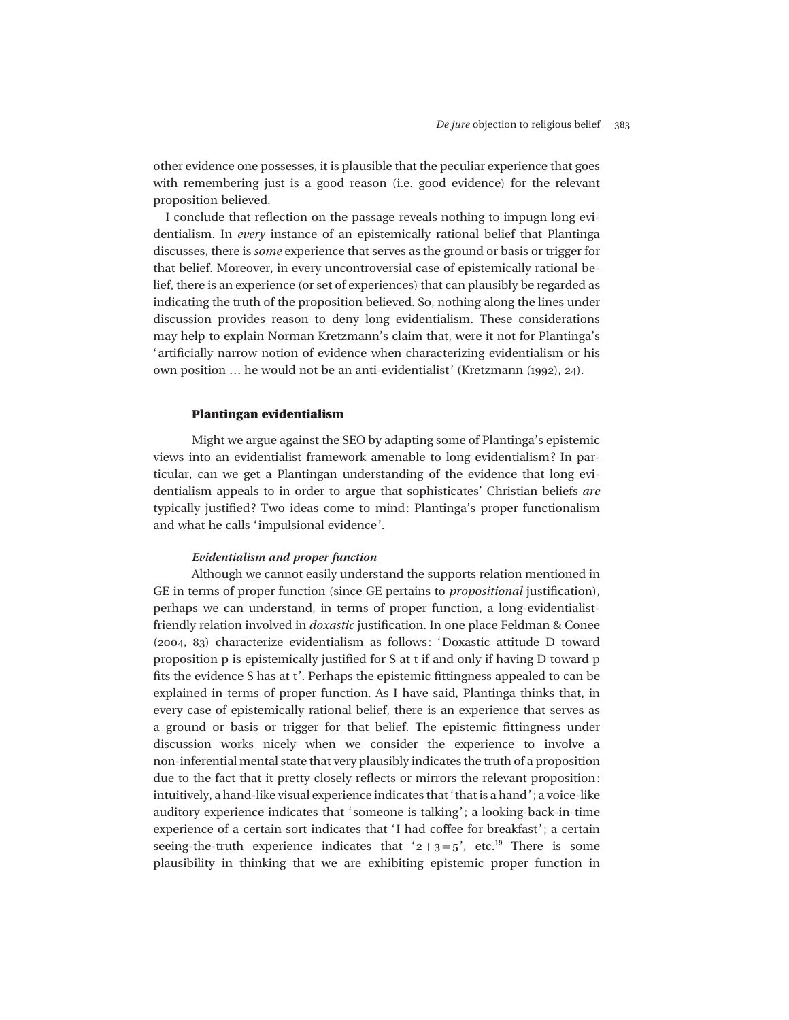other evidence one possesses, it is plausible that the peculiar experience that goes with remembering just is a good reason (i.e. good evidence) for the relevant proposition believed.

I conclude that reflection on the passage reveals nothing to impugn long evidentialism. In every instance of an epistemically rational belief that Plantinga discusses, there is some experience that serves as the ground or basis or trigger for that belief. Moreover, in every uncontroversial case of epistemically rational belief, there is an experience (or set of experiences) that can plausibly be regarded as indicating the truth of the proposition believed. So, nothing along the lines under discussion provides reason to deny long evidentialism. These considerations may help to explain Norman Kretzmann's claim that, were it not for Plantinga's 'artificially narrow notion of evidence when characterizing evidentialism or his own position … he would not be an anti-evidentialist' (Kretzmann (1992), 24).

# Plantingan evidentialism

Might we argue against the SEO by adapting some of Plantinga's epistemic views into an evidentialist framework amenable to long evidentialism ? In particular, can we get a Plantingan understanding of the evidence that long evidentialism appeals to in order to argue that sophisticates' Christian beliefs are typically justified? Two ideas come to mind: Plantinga's proper functionalism and what he calls 'impulsional evidence'.

#### Evidentialism and proper function

Although we cannot easily understand the supports relation mentioned in GE in terms of proper function (since GE pertains to propositional justification), perhaps we can understand, in terms of proper function, a long-evidentialistfriendly relation involved in doxastic justification. In one place Feldman & Conee (2004, 83) characterize evidentialism as follows: 'Doxastic attitude D toward proposition p is epistemically justified for S at t if and only if having D toward p fits the evidence S has at t'. Perhaps the epistemic fittingness appealed to can be explained in terms of proper function. As I have said, Plantinga thinks that, in every case of epistemically rational belief, there is an experience that serves as a ground or basis or trigger for that belief. The epistemic fittingness under discussion works nicely when we consider the experience to involve a non-inferential mental state that very plausibly indicates the truth of a proposition due to the fact that it pretty closely reflects or mirrors the relevant proposition: intuitively, a hand-like visual experience indicates that ' that is a hand'; a voice-like auditory experience indicates that 'someone is talking'; a looking-back-in-time experience of a certain sort indicates that 'I had coffee for breakfast'; a certain seeing-the-truth experience indicates that ' $2+3=5$ ', etc.<sup>19</sup> There is some plausibility in thinking that we are exhibiting epistemic proper function in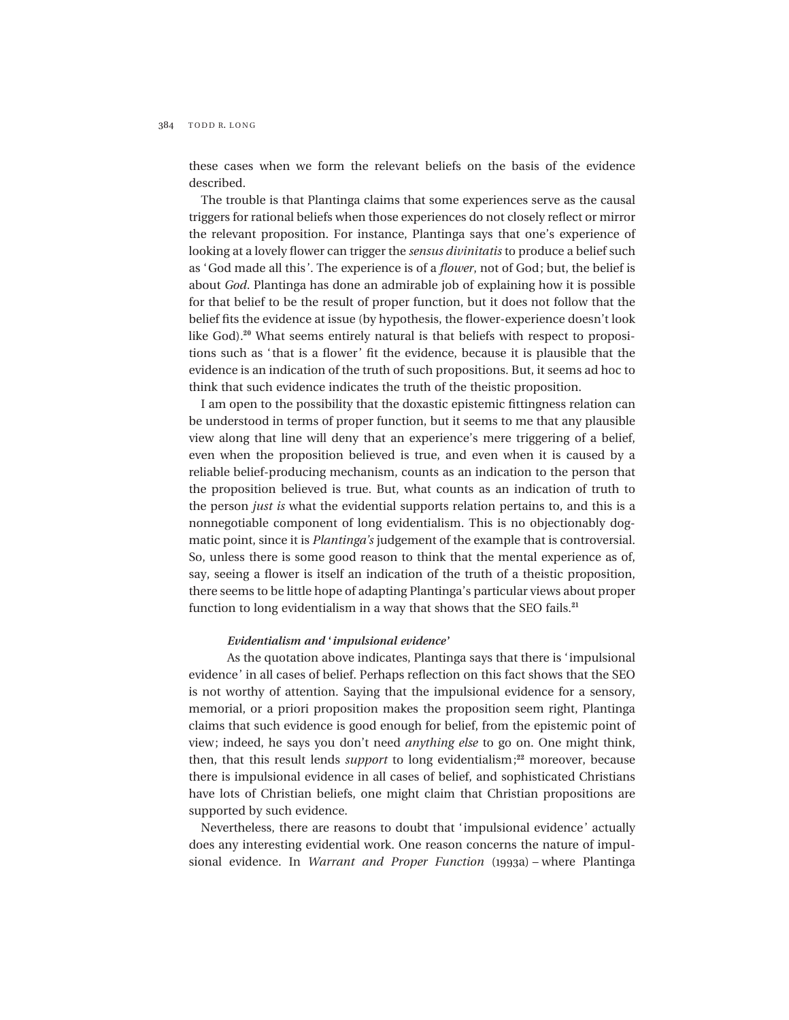these cases when we form the relevant beliefs on the basis of the evidence described.

The trouble is that Plantinga claims that some experiences serve as the causal triggers for rational beliefs when those experiences do not closely reflect or mirror the relevant proposition. For instance, Plantinga says that one's experience of looking at a lovely flower can trigger the *sensus divinitatis* to produce a belief such as 'God made all this'. The experience is of a *flower*, not of God; but, the belief is about God. Plantinga has done an admirable job of explaining how it is possible for that belief to be the result of proper function, but it does not follow that the belief fits the evidence at issue (by hypothesis, the flower-experience doesn't look like God).<sup>20</sup> What seems entirely natural is that beliefs with respect to propositions such as ' that is a flower' fit the evidence, because it is plausible that the evidence is an indication of the truth of such propositions. But, it seems ad hoc to think that such evidence indicates the truth of the theistic proposition.

I am open to the possibility that the doxastic epistemic fittingness relation can be understood in terms of proper function, but it seems to me that any plausible view along that line will deny that an experience's mere triggering of a belief, even when the proposition believed is true, and even when it is caused by a reliable belief-producing mechanism, counts as an indication to the person that the proposition believed is true. But, what counts as an indication of truth to the person *just is* what the evidential supports relation pertains to, and this is a nonnegotiable component of long evidentialism. This is no objectionably dogmatic point, since it is *Plantinga's* judgement of the example that is controversial. So, unless there is some good reason to think that the mental experience as of, say, seeing a flower is itself an indication of the truth of a theistic proposition, there seems to be little hope of adapting Plantinga's particular views about proper function to long evidentialism in a way that shows that the SEO fails.<sup>21</sup>

# Evidentialism and 'impulsional evidence'

As the quotation above indicates, Plantinga says that there is 'impulsional evidence' in all cases of belief. Perhaps reflection on this fact shows that the SEO is not worthy of attention. Saying that the impulsional evidence for a sensory, memorial, or a priori proposition makes the proposition seem right, Plantinga claims that such evidence is good enough for belief, from the epistemic point of view; indeed, he says you don't need anything else to go on. One might think, then, that this result lends *support* to long evidentialism; $2<sup>2</sup>$  moreover, because there is impulsional evidence in all cases of belief, and sophisticated Christians have lots of Christian beliefs, one might claim that Christian propositions are supported by such evidence.

Nevertheless, there are reasons to doubt that 'impulsional evidence' actually does any interesting evidential work. One reason concerns the nature of impulsional evidence. In Warrant and Proper Function (1993a) – where Plantinga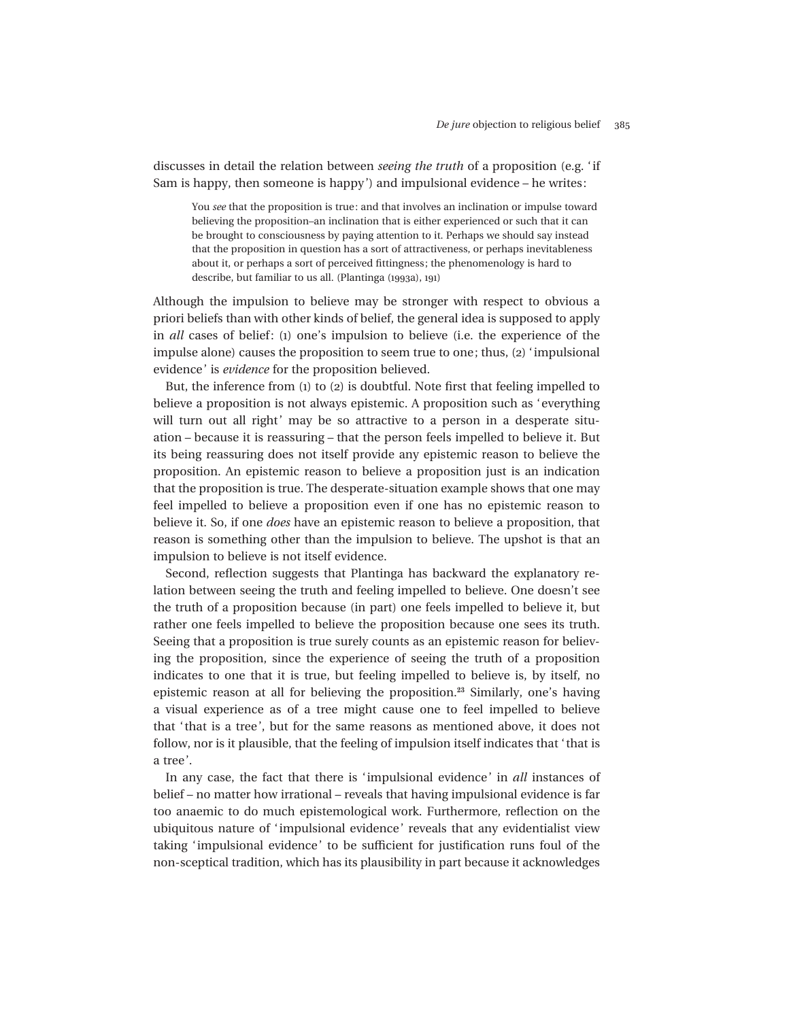discusses in detail the relation between seeing the truth of a proposition (e.g. 'if Sam is happy, then someone is happy') and impulsional evidence – he writes:

You see that the proposition is true: and that involves an inclination or impulse toward believing the proposition–an inclination that is either experienced or such that it can be brought to consciousness by paying attention to it. Perhaps we should say instead that the proposition in question has a sort of attractiveness, or perhaps inevitableness about it, or perhaps a sort of perceived fittingness; the phenomenology is hard to describe, but familiar to us all. (Plantinga (1993a), 191)

Although the impulsion to believe may be stronger with respect to obvious a priori beliefs than with other kinds of belief, the general idea is supposed to apply in all cases of belief: (1) one's impulsion to believe (i.e. the experience of the impulse alone) causes the proposition to seem true to one; thus, (2) 'impulsional evidence' is evidence for the proposition believed.

But, the inference from (1) to (2) is doubtful. Note first that feeling impelled to believe a proposition is not always epistemic. A proposition such as ' everything will turn out all right' may be so attractive to a person in a desperate situation – because it is reassuring – that the person feels impelled to believe it. But its being reassuring does not itself provide any epistemic reason to believe the proposition. An epistemic reason to believe a proposition just is an indication that the proposition is true. The desperate-situation example shows that one may feel impelled to believe a proposition even if one has no epistemic reason to believe it. So, if one does have an epistemic reason to believe a proposition, that reason is something other than the impulsion to believe. The upshot is that an impulsion to believe is not itself evidence.

Second, reflection suggests that Plantinga has backward the explanatory relation between seeing the truth and feeling impelled to believe. One doesn't see the truth of a proposition because (in part) one feels impelled to believe it, but rather one feels impelled to believe the proposition because one sees its truth. Seeing that a proposition is true surely counts as an epistemic reason for believing the proposition, since the experience of seeing the truth of a proposition indicates to one that it is true, but feeling impelled to believe is, by itself, no epistemic reason at all for believing the proposition.<sup>23</sup> Similarly, one's having a visual experience as of a tree might cause one to feel impelled to believe that ' that is a tree', but for the same reasons as mentioned above, it does not follow, nor is it plausible, that the feeling of impulsion itself indicates that ' that is a tree'.

In any case, the fact that there is 'impulsional evidence' in all instances of belief – no matter how irrational – reveals that having impulsional evidence is far too anaemic to do much epistemological work. Furthermore, reflection on the ubiquitous nature of 'impulsional evidence' reveals that any evidentialist view taking 'impulsional evidence' to be sufficient for justification runs foul of the non-sceptical tradition, which has its plausibility in part because it acknowledges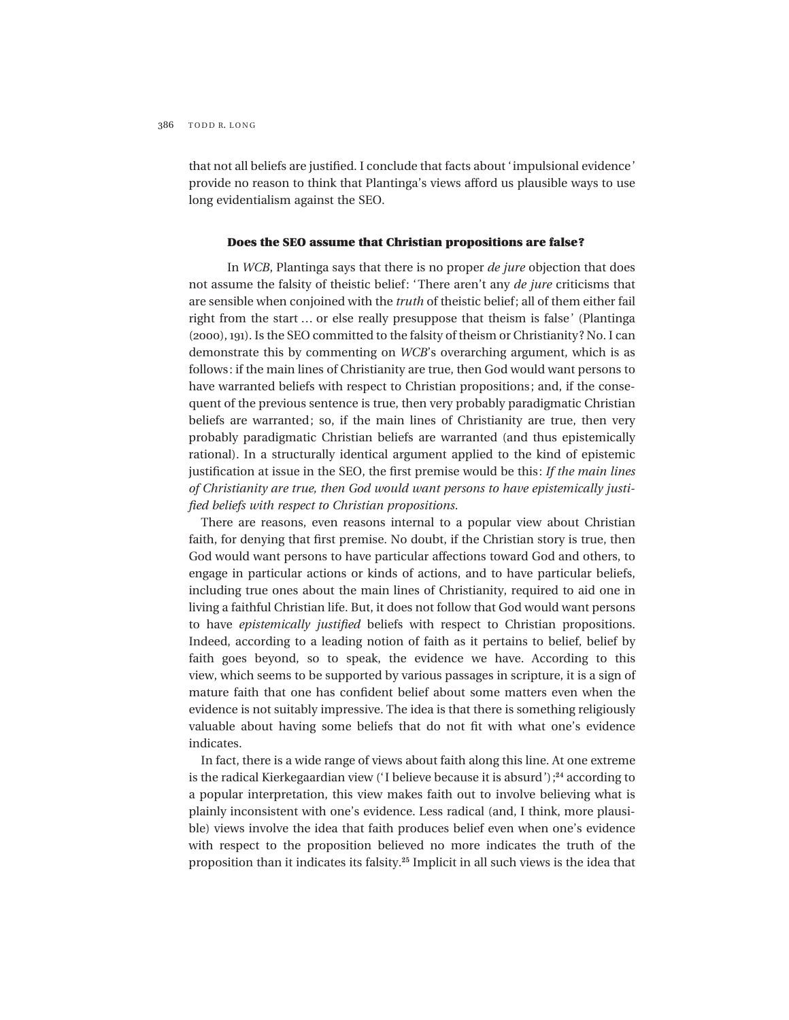that not all beliefs are justified. I conclude that facts about 'impulsional evidence' provide no reason to think that Plantinga's views afford us plausible ways to use long evidentialism against the SEO.

#### Does the SEO assume that Christian propositions are false?

In WCB, Plantinga says that there is no proper *de jure* objection that does not assume the falsity of theistic belief: 'There aren't any *de jure* criticisms that are sensible when conjoined with the *truth* of theistic belief; all of them either fail right from the start … or else really presuppose that theism is false' (Plantinga (2000), 191). Is the SEO committed to the falsity of theism or Christianity ? No. I can demonstrate this by commenting on WCB's overarching argument, which is as follows: if the main lines of Christianity are true, then God would want persons to have warranted beliefs with respect to Christian propositions; and, if the consequent of the previous sentence is true, then very probably paradigmatic Christian beliefs are warranted; so, if the main lines of Christianity are true, then very probably paradigmatic Christian beliefs are warranted (and thus epistemically rational). In a structurally identical argument applied to the kind of epistemic justification at issue in the SEO, the first premise would be this: If the main lines of Christianity are true, then God would want persons to have epistemically justified beliefs with respect to Christian propositions.

There are reasons, even reasons internal to a popular view about Christian faith, for denying that first premise. No doubt, if the Christian story is true, then God would want persons to have particular affections toward God and others, to engage in particular actions or kinds of actions, and to have particular beliefs, including true ones about the main lines of Christianity, required to aid one in living a faithful Christian life. But, it does not follow that God would want persons to have *epistemically justified* beliefs with respect to Christian propositions. Indeed, according to a leading notion of faith as it pertains to belief, belief by faith goes beyond, so to speak, the evidence we have. According to this view, which seems to be supported by various passages in scripture, it is a sign of mature faith that one has confident belief about some matters even when the evidence is not suitably impressive. The idea is that there is something religiously valuable about having some beliefs that do not fit with what one's evidence indicates.

In fact, there is a wide range of views about faith along this line. At one extreme is the radical Kierkegaardian view ('I believe because it is absurd'); $^{24}$  according to a popular interpretation, this view makes faith out to involve believing what is plainly inconsistent with one's evidence. Less radical (and, I think, more plausible) views involve the idea that faith produces belief even when one's evidence with respect to the proposition believed no more indicates the truth of the proposition than it indicates its falsity.<sup>25</sup> Implicit in all such views is the idea that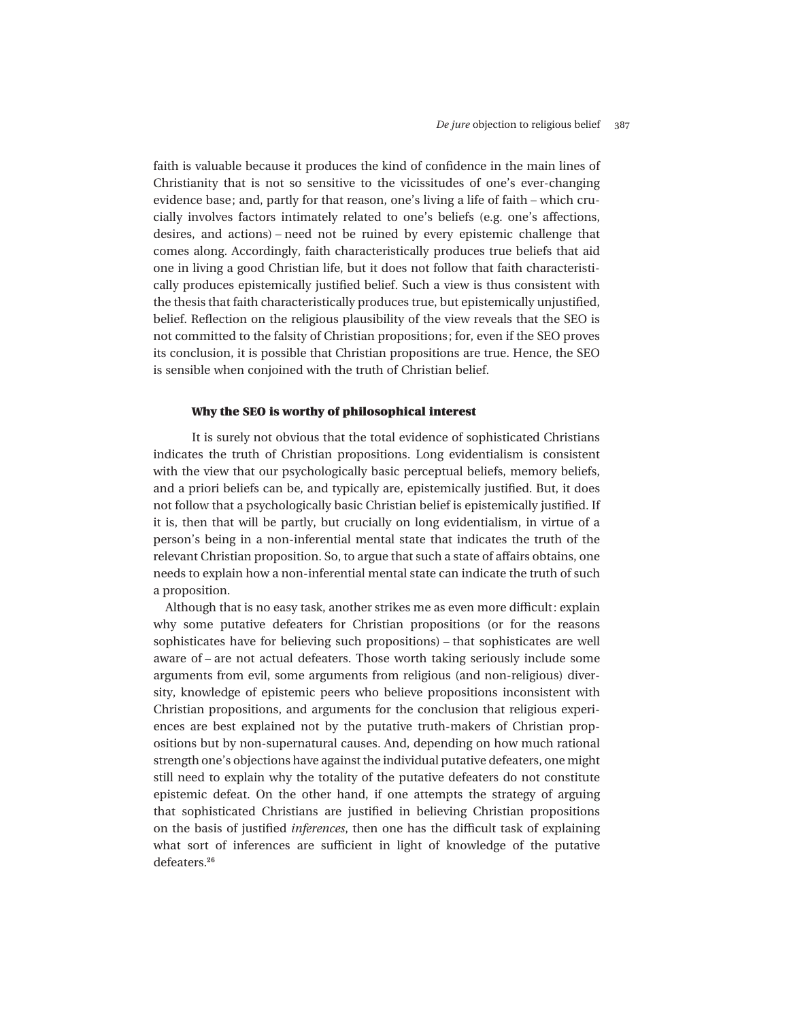faith is valuable because it produces the kind of confidence in the main lines of Christianity that is not so sensitive to the vicissitudes of one's ever-changing evidence base; and, partly for that reason, one's living a life of faith – which crucially involves factors intimately related to one's beliefs (e.g. one's affections, desires, and actions) – need not be ruined by every epistemic challenge that comes along. Accordingly, faith characteristically produces true beliefs that aid one in living a good Christian life, but it does not follow that faith characteristically produces epistemically justified belief. Such a view is thus consistent with the thesis that faith characteristically produces true, but epistemically unjustified, belief. Reflection on the religious plausibility of the view reveals that the SEO is not committed to the falsity of Christian propositions; for, even if the SEO proves its conclusion, it is possible that Christian propositions are true. Hence, the SEO is sensible when conjoined with the truth of Christian belief.

### Why the SEO is worthy of philosophical interest

It is surely not obvious that the total evidence of sophisticated Christians indicates the truth of Christian propositions. Long evidentialism is consistent with the view that our psychologically basic perceptual beliefs, memory beliefs, and a priori beliefs can be, and typically are, epistemically justified. But, it does not follow that a psychologically basic Christian belief is epistemically justified. If it is, then that will be partly, but crucially on long evidentialism, in virtue of a person's being in a non-inferential mental state that indicates the truth of the relevant Christian proposition. So, to argue that such a state of affairs obtains, one needs to explain how a non-inferential mental state can indicate the truth of such a proposition.

Although that is no easy task, another strikes me as even more difficult: explain why some putative defeaters for Christian propositions (or for the reasons sophisticates have for believing such propositions) – that sophisticates are well aware of – are not actual defeaters. Those worth taking seriously include some arguments from evil, some arguments from religious (and non-religious) diversity, knowledge of epistemic peers who believe propositions inconsistent with Christian propositions, and arguments for the conclusion that religious experiences are best explained not by the putative truth-makers of Christian propositions but by non-supernatural causes. And, depending on how much rational strength one's objections have against the individual putative defeaters, one might still need to explain why the totality of the putative defeaters do not constitute epistemic defeat. On the other hand, if one attempts the strategy of arguing that sophisticated Christians are justified in believing Christian propositions on the basis of justified inferences, then one has the difficult task of explaining what sort of inferences are sufficient in light of knowledge of the putative defeaters.26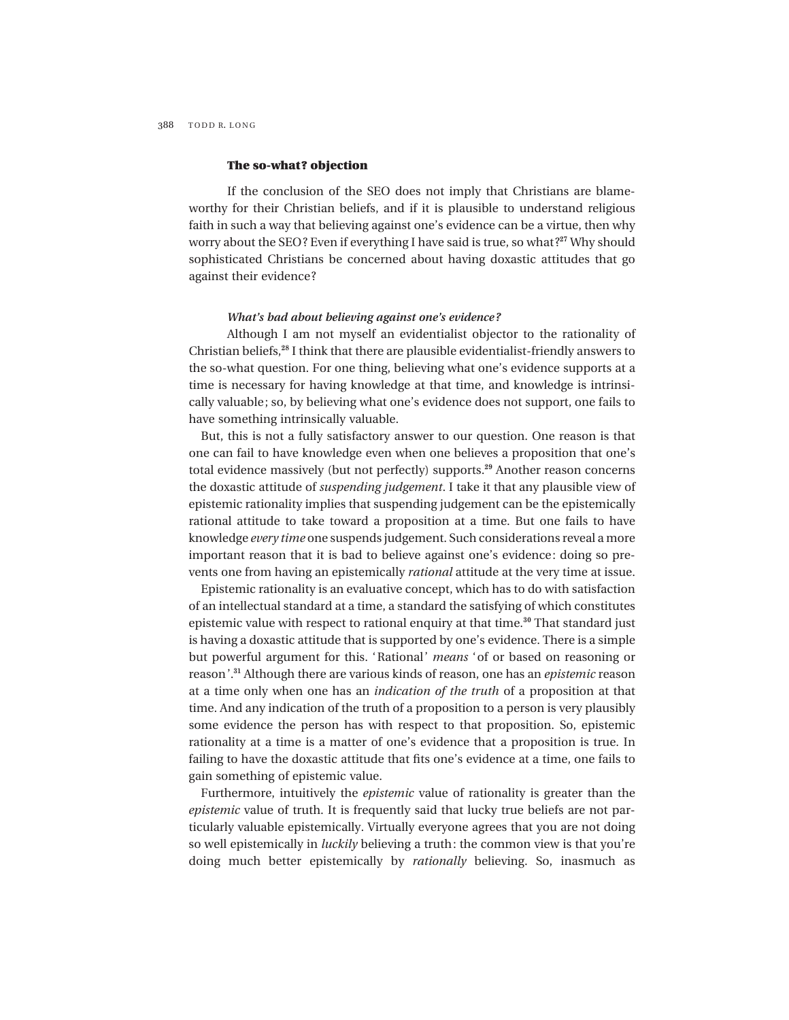# The so-what? objection

If the conclusion of the SEO does not imply that Christians are blameworthy for their Christian beliefs, and if it is plausible to understand religious faith in such a way that believing against one's evidence can be a virtue, then why worry about the SEO? Even if everything I have said is true, so what?<sup>27</sup> Why should sophisticated Christians be concerned about having doxastic attitudes that go against their evidence ?

### What's bad about believing against one's evidence?

Although I am not myself an evidentialist objector to the rationality of Christian beliefs,<sup>28</sup> I think that there are plausible evidentialist-friendly answers to the so-what question. For one thing, believing what one's evidence supports at a time is necessary for having knowledge at that time, and knowledge is intrinsically valuable; so, by believing what one's evidence does not support, one fails to have something intrinsically valuable.

But, this is not a fully satisfactory answer to our question. One reason is that one can fail to have knowledge even when one believes a proposition that one's total evidence massively (but not perfectly) supports.<sup>29</sup> Another reason concerns the doxastic attitude of *suspending judgement*. I take it that any plausible view of epistemic rationality implies that suspending judgement can be the epistemically rational attitude to take toward a proposition at a time. But one fails to have knowledge *every time* one suspends judgement. Such considerations reveal a more important reason that it is bad to believe against one's evidence: doing so prevents one from having an epistemically *rational* attitude at the very time at issue.

Epistemic rationality is an evaluative concept, which has to do with satisfaction of an intellectual standard at a time, a standard the satisfying of which constitutes epistemic value with respect to rational enquiry at that time.<sup>30</sup> That standard just is having a doxastic attitude that is supported by one's evidence. There is a simple but powerful argument for this. 'Rational' *means* 'of or based on reasoning or reason'.<sup>31</sup> Although there are various kinds of reason, one has an *epistemic* reason at a time only when one has an *indication of the truth* of a proposition at that time. And any indication of the truth of a proposition to a person is very plausibly some evidence the person has with respect to that proposition. So, epistemic rationality at a time is a matter of one's evidence that a proposition is true. In failing to have the doxastic attitude that fits one's evidence at a time, one fails to gain something of epistemic value.

Furthermore, intuitively the epistemic value of rationality is greater than the epistemic value of truth. It is frequently said that lucky true beliefs are not particularly valuable epistemically. Virtually everyone agrees that you are not doing so well epistemically in *luckily* believing a truth: the common view is that you're doing much better epistemically by *rationally* believing. So, inasmuch as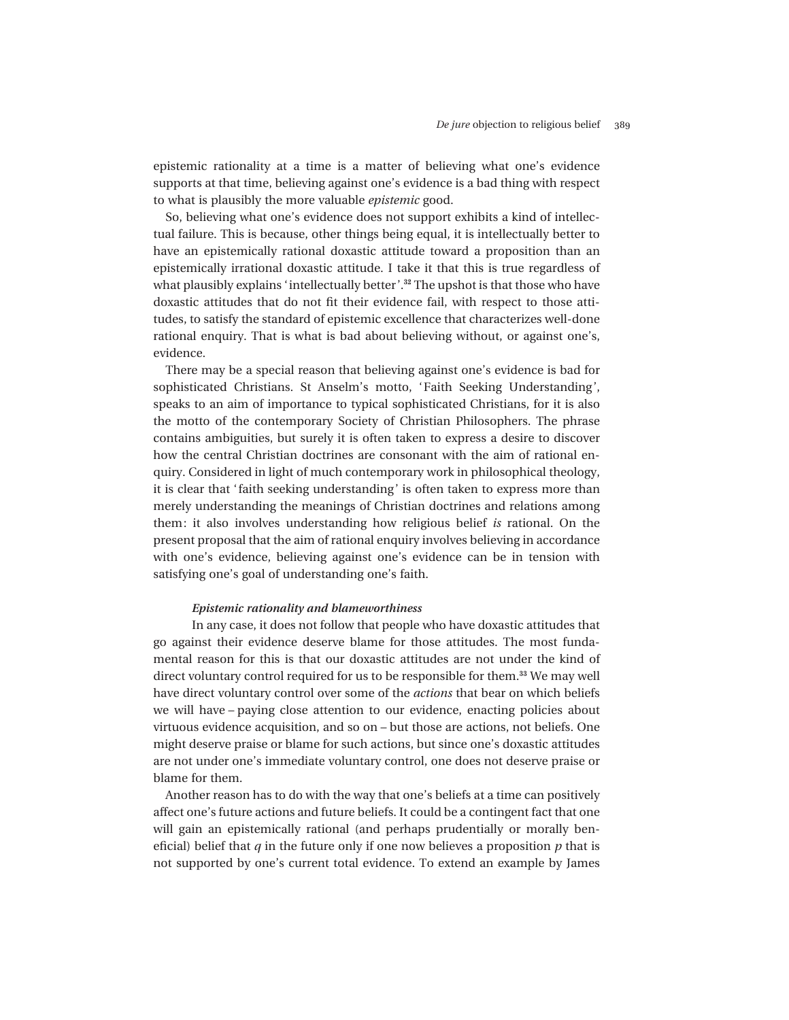epistemic rationality at a time is a matter of believing what one's evidence supports at that time, believing against one's evidence is a bad thing with respect to what is plausibly the more valuable epistemic good.

So, believing what one's evidence does not support exhibits a kind of intellectual failure. This is because, other things being equal, it is intellectually better to have an epistemically rational doxastic attitude toward a proposition than an epistemically irrational doxastic attitude. I take it that this is true regardless of what plausibly explains 'intellectually better'.<sup>32</sup> The upshot is that those who have doxastic attitudes that do not fit their evidence fail, with respect to those attitudes, to satisfy the standard of epistemic excellence that characterizes well-done rational enquiry. That is what is bad about believing without, or against one's, evidence.

There may be a special reason that believing against one's evidence is bad for sophisticated Christians. St Anselm's motto, 'Faith Seeking Understanding', speaks to an aim of importance to typical sophisticated Christians, for it is also the motto of the contemporary Society of Christian Philosophers. The phrase contains ambiguities, but surely it is often taken to express a desire to discover how the central Christian doctrines are consonant with the aim of rational enquiry. Considered in light of much contemporary work in philosophical theology, it is clear that 'faith seeking understanding' is often taken to express more than merely understanding the meanings of Christian doctrines and relations among them: it also involves understanding how religious belief is rational. On the present proposal that the aim of rational enquiry involves believing in accordance with one's evidence, believing against one's evidence can be in tension with satisfying one's goal of understanding one's faith.

# Epistemic rationality and blameworthiness

In any case, it does not follow that people who have doxastic attitudes that go against their evidence deserve blame for those attitudes. The most fundamental reason for this is that our doxastic attitudes are not under the kind of direct voluntary control required for us to be responsible for them.<sup>33</sup> We may well have direct voluntary control over some of the actions that bear on which beliefs we will have – paying close attention to our evidence, enacting policies about virtuous evidence acquisition, and so on – but those are actions, not beliefs. One might deserve praise or blame for such actions, but since one's doxastic attitudes are not under one's immediate voluntary control, one does not deserve praise or blame for them.

Another reason has to do with the way that one's beliefs at a time can positively affect one's future actions and future beliefs. It could be a contingent fact that one will gain an epistemically rational (and perhaps prudentially or morally beneficial) belief that q in the future only if one now believes a proposition  $p$  that is not supported by one's current total evidence. To extend an example by James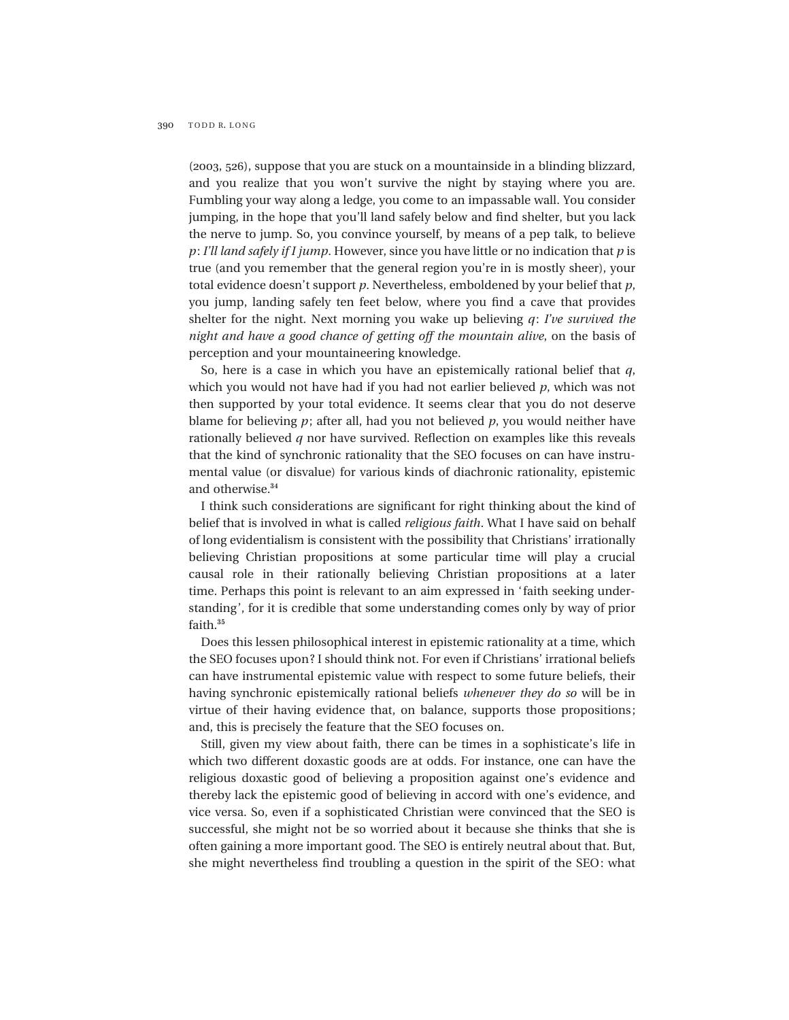(2003, 526), suppose that you are stuck on a mountainside in a blinding blizzard, and you realize that you won't survive the night by staying where you are. Fumbling your way along a ledge, you come to an impassable wall. You consider jumping, in the hope that you'll land safely below and find shelter, but you lack the nerve to jump. So, you convince yourself, by means of a pep talk, to believe p: I'll land safely if I jump. However, since you have little or no indication that p is true (and you remember that the general region you're in is mostly sheer), your total evidence doesn't support p. Nevertheless, emboldened by your belief that  $p$ , you jump, landing safely ten feet below, where you find a cave that provides shelter for the night. Next morning you wake up believing  $q$ : I've survived the night and have a good chance of getting off the mountain alive, on the basis of perception and your mountaineering knowledge.

So, here is a case in which you have an epistemically rational belief that  $q$ , which you would not have had if you had not earlier believed  $p$ , which was not then supported by your total evidence. It seems clear that you do not deserve blame for believing  $p$ ; after all, had you not believed  $p$ , you would neither have rationally believed  $q$  nor have survived. Reflection on examples like this reveals that the kind of synchronic rationality that the SEO focuses on can have instrumental value (or disvalue) for various kinds of diachronic rationality, epistemic and otherwise.<sup>34</sup>

I think such considerations are significant for right thinking about the kind of belief that is involved in what is called *religious faith*. What I have said on behalf of long evidentialism is consistent with the possibility that Christians' irrationally believing Christian propositions at some particular time will play a crucial causal role in their rationally believing Christian propositions at a later time. Perhaps this point is relevant to an aim expressed in ' faith seeking understanding', for it is credible that some understanding comes only by way of prior faith.<sup>35</sup>

Does this lessen philosophical interest in epistemic rationality at a time, which the SEO focuses upon ? I should think not. For even if Christians' irrational beliefs can have instrumental epistemic value with respect to some future beliefs, their having synchronic epistemically rational beliefs whenever they do so will be in virtue of their having evidence that, on balance, supports those propositions; and, this is precisely the feature that the SEO focuses on.

Still, given my view about faith, there can be times in a sophisticate's life in which two different doxastic goods are at odds. For instance, one can have the religious doxastic good of believing a proposition against one's evidence and thereby lack the epistemic good of believing in accord with one's evidence, and vice versa. So, even if a sophisticated Christian were convinced that the SEO is successful, she might not be so worried about it because she thinks that she is often gaining a more important good. The SEO is entirely neutral about that. But, she might nevertheless find troubling a question in the spirit of the SEO: what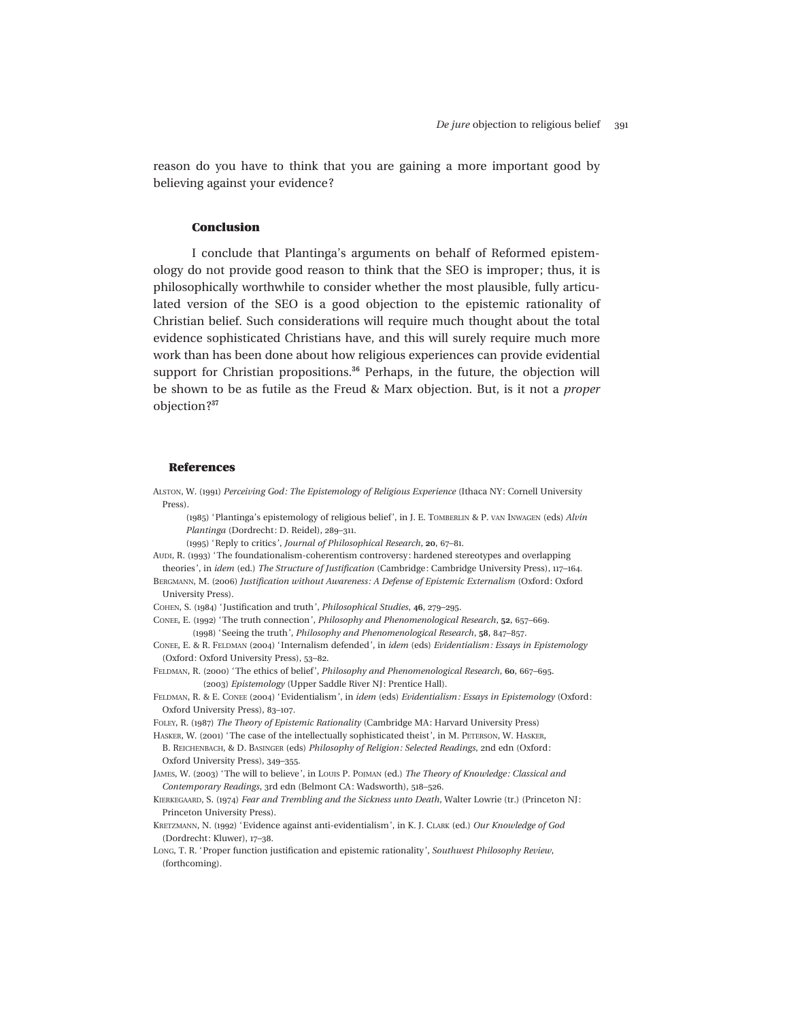reason do you have to think that you are gaining a more important good by believing against your evidence ?

# **Conclusion**

I conclude that Plantinga's arguments on behalf of Reformed epistemology do not provide good reason to think that the SEO is improper; thus, it is philosophically worthwhile to consider whether the most plausible, fully articulated version of the SEO is a good objection to the epistemic rationality of Christian belief. Such considerations will require much thought about the total evidence sophisticated Christians have, and this will surely require much more work than has been done about how religious experiences can provide evidential support for Christian propositions.<sup>36</sup> Perhaps, in the future, the objection will be shown to be as futile as the Freud & Marx objection. But, is it not a proper objection ?<sup>37</sup>

# References

ALSTON, W. (1991) Perceiving God: The Epistemology of Religious Experience (Ithaca NY: Cornell University Press).

(1985) 'Plantinga's epistemology of religious belief', in J. E. TOMBERLIN & P. VAN INWAGEN (eds) Alvin Plantinga (Dordrecht: D. Reidel), 289–311.

(1995) 'Reply to critics', Journal of Philosophical Research, 20, 67–81.

- AUDI, R. (1993) 'The foundationalism-coherentism controversy: hardened stereotypes and overlapping theories', in idem (ed.) The Structure of Justification (Cambridge: Cambridge University Press), 117-164.
- BERGMANN, M. (2006) Justification without Awareness: A Defense of Epistemic Externalism (Oxford: Oxford University Press).
- COHEN, S. (1984) ' Justification and truth', Philosophical Studies, 46, 279–295.
- CONEE, E. (1992) 'The truth connection', Philosophy and Phenomenological Research, 52, 657–669. (1998) 'Seeing the truth', Philosophy and Phenomenological Research, 58, 847–857.
- CONEE, E. & R. FELDMAN (2004) ' Internalism defended', in idem (eds) Evidentialism: Essays in Epistemology (Oxford: Oxford University Press), 53–82.

FELDMAN, R. (2000) 'The ethics of belief', Philosophy and Phenomenological Research, 60, 667–695. (2003) Epistemology (Upper Saddle River NJ: Prentice Hall).

FELDMAN, R. & E. CONEE (2004) 'Evidentialism', in idem (eds) Evidentialism: Essays in Epistemology (Oxford: Oxford University Press), 83–107.

FOLEY, R. (1987) The Theory of Epistemic Rationality (Cambridge MA: Harvard University Press)

HASKER, W. (2001) 'The case of the intellectually sophisticated theist', in M. PETERSON, W. HASKER, B. REICHENBACH, & D. BASINGER (eds) Philosophy of Religion: Selected Readings, 2nd edn (Oxford: Oxford University Press), 349–355.

- JAMES, W. (2003) 'The will to believe', in LOUIS P. POJMAN (ed.) The Theory of Knowledge: Classical and Contemporary Readings, 3rd edn (Belmont CA: Wadsworth), 518–526.
- KIERKEGAARD, S. (1974) Fear and Trembling and the Sickness unto Death, Walter Lowrie (tr.) (Princeton NJ: Princeton University Press).
- KRETZMANN, N. (1992) 'Evidence against anti-evidentialism', in K. J. CLARK (ed.) Our Knowledge of God (Dordrecht: Kluwer), 17–38.
- LONG, T. R. 'Proper function justification and epistemic rationality', Southwest Philosophy Review, (forthcoming).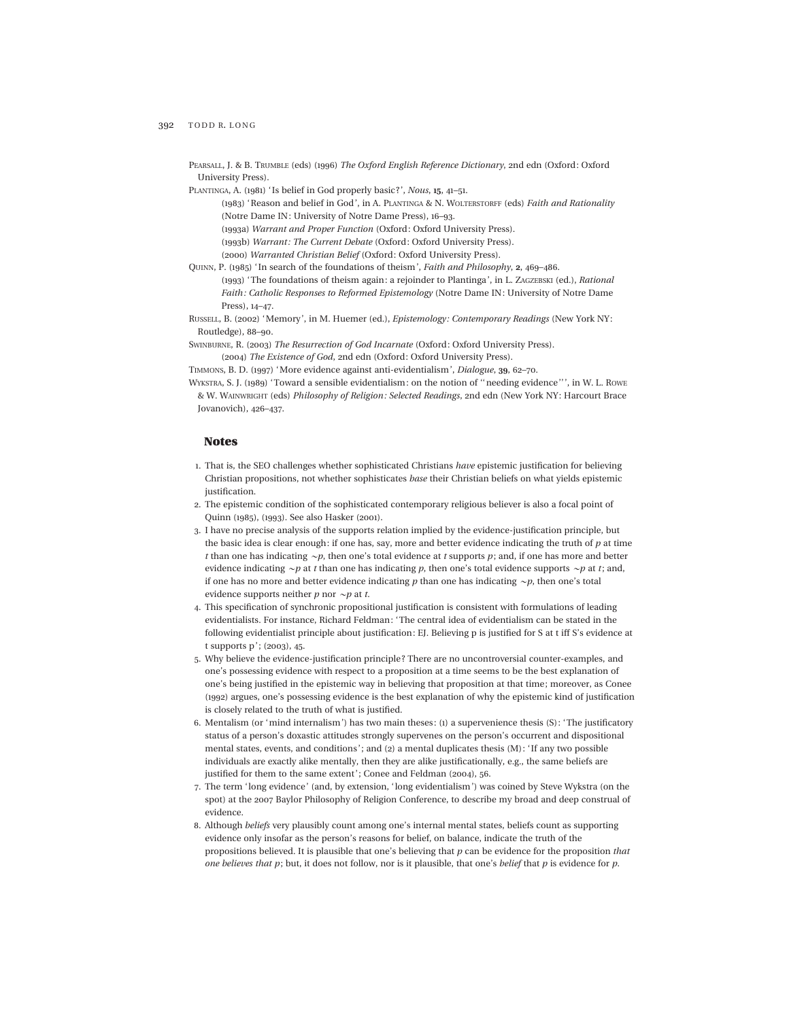PEARSALL, J. & B. TRUMBLE (eds) (1996) The Oxford English Reference Dictionary, 2nd edn (Oxford: Oxford University Press).

PLANTINGA, A. (1981) 'Is belief in God properly basic?', Nous, 15, 41-51.

(1983) 'Reason and belief in God', in A. PLANTINGA & N. WOLTERSTORFF (eds) Faith and Rationality (Notre Dame IN: University of Notre Dame Press), 16–93.

(1993a) Warrant and Proper Function (Oxford: Oxford University Press).

(1993b) Warrant: The Current Debate (Oxford: Oxford University Press).

(2000) Warranted Christian Belief (Oxford: Oxford University Press).

QUINN, P. (1985) 'In search of the foundations of theism', Faith and Philosophy, 2, 469-486. (1993) 'The foundations of theism again: a rejoinder to Plantinga', in L. ZAGZEBSKI (ed.), Rational Faith: Catholic Responses to Reformed Epistemology (Notre Dame IN: University of Notre Dame Press), 14–47.

RUSSELL, B. (2002) 'Memory', in M. Huemer (ed.), Epistemology: Contemporary Readings (New York NY: Routledge), 88–90.

- SWINBURNE, R. (2003) The Resurrection of God Incarnate (Oxford: Oxford University Press). (2004) The Existence of God, 2nd edn (Oxford: Oxford University Press).
- TIMMONS, B. D. (1997) 'More evidence against anti-evidentialism', Dialogue, 39, 62–70.

WYKSTRA, S. J. (1989) 'Toward a sensible evidentialism: on the notion of ''needing evidence''', in W. L. ROWE & W. WAINWRIGHT (eds) Philosophy of Religion: Selected Readings, 2nd edn (New York NY: Harcourt Brace Jovanovich), 426–437.

#### **Notes**

- 1. That is, the SEO challenges whether sophisticated Christians have epistemic justification for believing Christian propositions, not whether sophisticates base their Christian beliefs on what yields epistemic justification.
- 2. The epistemic condition of the sophisticated contemporary religious believer is also a focal point of Quinn (1985), (1993). See also Hasker (2001).
- 3. I have no precise analysis of the supports relation implied by the evidence-justification principle, but the basic idea is clear enough: if one has, say, more and better evidence indicating the truth of  $p$  at time t than one has indicating  $\sim p$ , then one's total evidence at t supports p; and, if one has more and better evidence indicating  $\sim p$  at t than one has indicating p, then one's total evidence supports  $\sim p$  at t; and, if one has no more and better evidence indicating p than one has indicating  $\sim p$ , then one's total evidence supports neither p nor  $\sim p$  at t.
- 4. This specification of synchronic propositional justification is consistent with formulations of leading evidentialists. For instance, Richard Feldman: 'The central idea of evidentialism can be stated in the following evidentialist principle about justification: EJ. Believing p is justified for S at t iff S's evidence at t supports p'; (2003), 45.
- 5. Why believe the evidence-justification principle ? There are no uncontroversial counter-examples, and one's possessing evidence with respect to a proposition at a time seems to be the best explanation of one's being justified in the epistemic way in believing that proposition at that time; moreover, as Conee (1992) argues, one's possessing evidence is the best explanation of why the epistemic kind of justification is closely related to the truth of what is justified.
- 6. Mentalism (or 'mind internalism') has two main theses: (1) a supervenience thesis (S): 'The justificatory status of a person's doxastic attitudes strongly supervenes on the person's occurrent and dispositional mental states, events, and conditions'; and (2) a mental duplicates thesis (M): ' If any two possible individuals are exactly alike mentally, then they are alike justificationally, e.g., the same beliefs are justified for them to the same extent'; Conee and Feldman (2004), 56.
- 7. The term 'long evidence' (and, by extension, 'long evidentialism') was coined by Steve Wykstra (on the spot) at the 2007 Baylor Philosophy of Religion Conference, to describe my broad and deep construal of evidence.
- 8. Although beliefs very plausibly count among one's internal mental states, beliefs count as supporting evidence only insofar as the person's reasons for belief, on balance, indicate the truth of the propositions believed. It is plausible that one's believing that  $p$  can be evidence for the proposition that one believes that  $p$ ; but, it does not follow, nor is it plausible, that one's belief that  $p$  is evidence for  $p$ .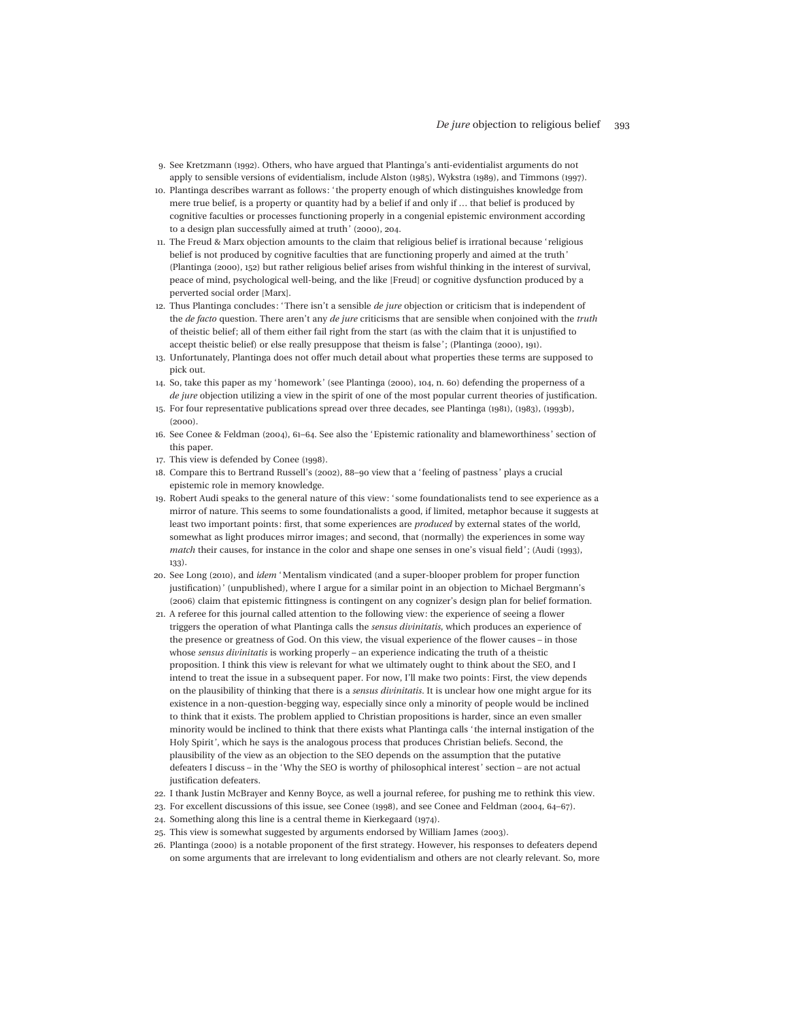- 9. See Kretzmann (1992). Others, who have argued that Plantinga's anti-evidentialist arguments do not apply to sensible versions of evidentialism, include Alston (1985), Wykstra (1989), and Timmons (1997).
- 10. Plantinga describes warrant as follows: ' the property enough of which distinguishes knowledge from mere true belief, is a property or quantity had by a belief if and only if … that belief is produced by cognitive faculties or processes functioning properly in a congenial epistemic environment according to a design plan successfully aimed at truth' (2000), 204.
- 11. The Freud & Marx objection amounts to the claim that religious belief is irrational because ' religious belief is not produced by cognitive faculties that are functioning properly and aimed at the truth' (Plantinga (2000), 152) but rather religious belief arises from wishful thinking in the interest of survival, peace of mind, psychological well-being, and the like [Freud] or cognitive dysfunction produced by a perverted social order [Marx].
- 12. Thus Plantinga concludes: 'There isn't a sensible *de jure* objection or criticism that is independent of the de facto question. There aren't any de jure criticisms that are sensible when conjoined with the truth of theistic belief; all of them either fail right from the start (as with the claim that it is unjustified to accept theistic belief) or else really presuppose that theism is false'; (Plantinga (2000), 191).
- 13. Unfortunately, Plantinga does not offer much detail about what properties these terms are supposed to pick out.
- 14. So, take this paper as my 'homework' (see Plantinga (2000), 104, n. 60) defending the properness of a de jure objection utilizing a view in the spirit of one of the most popular current theories of justification.
- 15. For four representative publications spread over three decades, see Plantinga (1981), (1983), (1993b), (2000).
- 16. See Conee & Feldman (2004), 61–64. See also the 'Epistemic rationality and blameworthiness' section of this paper.
- 17. This view is defended by Conee (1998).
- 18. Compare this to Bertrand Russell's (2002), 88–90 view that a ' feeling of pastness' plays a crucial epistemic role in memory knowledge.
- 19. Robert Audi speaks to the general nature of this view: 'some foundationalists tend to see experience as a mirror of nature. This seems to some foundationalists a good, if limited, metaphor because it suggests at least two important points: first, that some experiences are *produced* by external states of the world, somewhat as light produces mirror images; and second, that (normally) the experiences in some way match their causes, for instance in the color and shape one senses in one's visual field'; (Audi (1993), 133).
- 20. See Long (2010), and idem 'Mentalism vindicated (and a super-blooper problem for proper function justification)' (unpublished), where I argue for a similar point in an objection to Michael Bergmann's (2006) claim that epistemic fittingness is contingent on any cognizer's design plan for belief formation.
- 21. A referee for this journal called attention to the following view: the experience of seeing a flower triggers the operation of what Plantinga calls the sensus divinitatis, which produces an experience of the presence or greatness of God. On this view, the visual experience of the flower causes – in those whose sensus divinitatis is working properly - an experience indicating the truth of a theistic proposition. I think this view is relevant for what we ultimately ought to think about the SEO, and I intend to treat the issue in a subsequent paper. For now, I'll make two points: First, the view depends on the plausibility of thinking that there is a sensus divinitatis. It is unclear how one might argue for its existence in a non-question-begging way, especially since only a minority of people would be inclined to think that it exists. The problem applied to Christian propositions is harder, since an even smaller minority would be inclined to think that there exists what Plantinga calls ' the internal instigation of the Holy Spirit', which he says is the analogous process that produces Christian beliefs. Second, the plausibility of the view as an objection to the SEO depends on the assumption that the putative defeaters I discuss – in the 'Why the SEO is worthy of philosophical interest' section – are not actual justification defeaters.
- 22. I thank Justin McBrayer and Kenny Boyce, as well a journal referee, for pushing me to rethink this view.
- 23. For excellent discussions of this issue, see Conee (1998), and see Conee and Feldman (2004, 64–67).
- 24. Something along this line is a central theme in Kierkegaard (1974).
- 25. This view is somewhat suggested by arguments endorsed by William James (2003).
- 26. Plantinga (2000) is a notable proponent of the first strategy. However, his responses to defeaters depend on some arguments that are irrelevant to long evidentialism and others are not clearly relevant. So, more